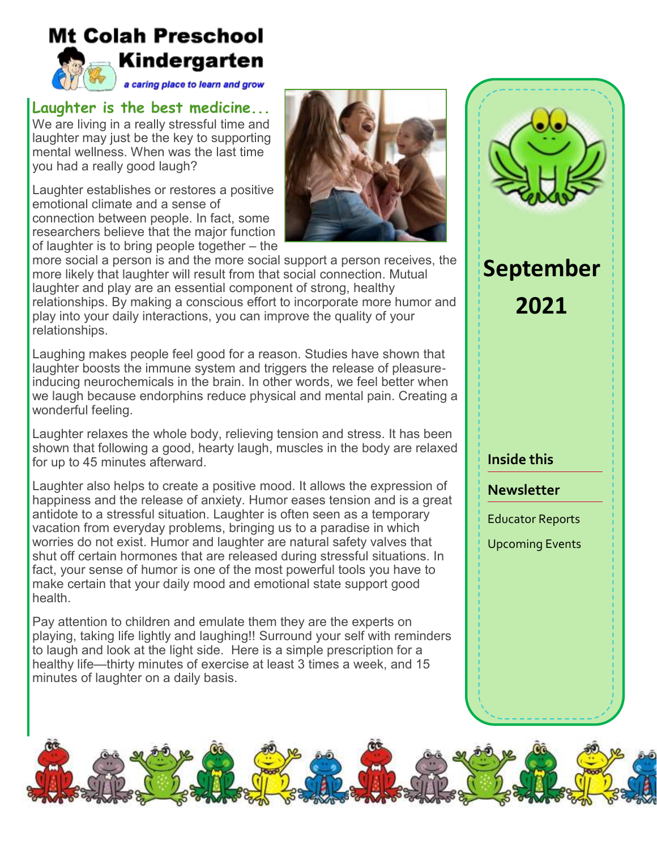# **Mt Colah Preschool** Kindergarten

a caring place to learn and grow

## **Laughter is the best medicine...**

We are living in a really stressful time and laughter may just be the key to supporting mental wellness. When was the last time you had a really good laugh?

Laughter establishes or restores a positive emotional climate and a sense of connection between people. In fact, some researchers believe that the major function of laughter is to bring people together – the



more social a person is and the more social support a person receives, the more likely that laughter will result from that social connection. Mutual laughter and play are an essential component of strong, healthy relationships. By making a conscious effort to incorporate more humor and play into your daily interactions, you can improve the quality of your relationships.

Laughing makes people feel good for a reason. Studies have shown that laughter boosts the immune system and triggers the release of pleasureinducing neurochemicals in the brain. In other words, we feel better when we laugh because endorphins reduce physical and mental pain. Creating a wonderful feeling.

Laughter relaxes the whole body, relieving tension and stress. It has been shown that following a good, hearty laugh, muscles in the body are relaxed for up to 45 minutes afterward.

Laughter also helps to create a positive mood. It allows the expression of happiness and the release of anxiety. Humor eases tension and is a great antidote to a stressful situation. Laughter is often seen as a temporary vacation from everyday problems, bringing us to a paradise in which worries do not exist. Humor and laughter are natural safety valves that shut off certain hormones that are released during stressful situations. In fact, your sense of humor is one of the most powerful tools you have to make certain that your daily mood and emotional state support good health.

Pay attention to children and emulate them they are the experts on playing, taking life lightly and laughing!! Surround your self with reminders to laugh and look at the light side. Here is a simple prescription for a healthy life—thirty minutes of exercise at least 3 times a week, and 15 minutes of laughter on a daily basis.

# **September 2021**

#### **Inside this**

#### **Newsletter**

Educator Reports

Upcoming Events

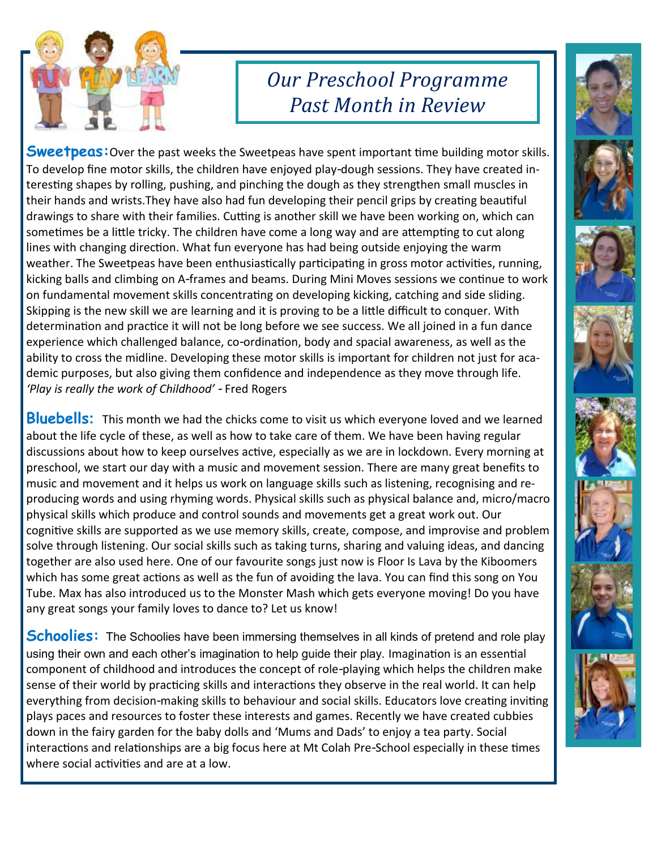

# *Our Preschool Programme Past Month in Review*

**Sweetpeas:**Over the past weeks the Sweetpeas have spent important time building motor skills. To develop fine motor skills, the children have enjoyed play-dough sessions. They have created interesting shapes by rolling, pushing, and pinching the dough as they strengthen small muscles in their hands and wrists.They have also had fun developing their pencil grips by creating beautiful drawings to share with their families. Cutting is another skill we have been working on, which can sometimes be a little tricky. The children have come a long way and are attempting to cut along lines with changing direction. What fun everyone has had being outside enjoying the warm weather. The Sweetpeas have been enthusiastically participating in gross motor activities, running, kicking balls and climbing on A-frames and beams. During Mini Moves sessions we continue to work on fundamental movement skills concentrating on developing kicking, catching and side sliding. Skipping is the new skill we are learning and it is proving to be a little difficult to conquer. With determination and practice it will not be long before we see success. We all joined in a fun dance experience which challenged balance, co-ordination, body and spacial awareness, as well as the ability to cross the midline. Developing these motor skills is important for children not just for academic purposes, but also giving them confidence and independence as they move through life. *'Play is really the work of Childhood' -* Fred Rogers

**Bluebells:** This month we had the chicks come to visit us which everyone loved and we learned about the life cycle of these, as well as how to take care of them. We have been having regular discussions about how to keep ourselves active, especially as we are in lockdown. Every morning at preschool, we start our day with a music and movement session. There are many great benefits to music and movement and it helps us work on language skills such as listening, recognising and reproducing words and using rhyming words. Physical skills such as physical balance and, micro/macro physical skills which produce and control sounds and movements get a great work out. Our cognitive skills are supported as we use memory skills, create, compose, and improvise and problem solve through listening. Our social skills such as taking turns, sharing and valuing ideas, and dancing together are also used here. One of our favourite songs just now is Floor Is Lava by the Kiboomers which has some great actions as well as the fun of avoiding the lava. You can find this song on You Tube. Max has also introduced us to the Monster Mash which gets everyone moving! Do you have any great songs your family loves to dance to? Let us know!

**Schoolies:** The Schoolies have been immersing themselves in all kinds of pretend and role play using their own and each other's imagination to help guide their play. Imagination is an essential component of childhood and introduces the concept of role-playing which helps the children make sense of their world by practicing skills and interactions they observe in the real world. It can help everything from decision-making skills to behaviour and social skills. Educators love creating inviting plays paces and resources to foster these interests and games. Recently we have created cubbies down in the fairy garden for the baby dolls and 'Mums and Dads' to enjoy a tea party. Social interactions and relationships are a big focus here at Mt Colah Pre-School especially in these times where social activities and are at a low.

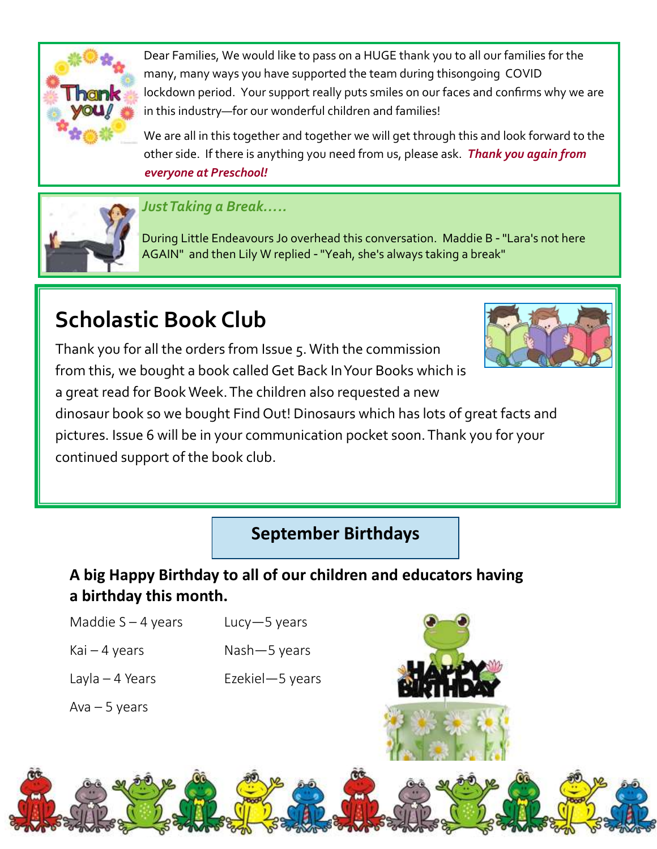

Dear Families, We would like to pass on a HUGE thank you to all our families for the many, many ways you have supported the team during thisongoing COVID lockdown period. Your support really puts smiles on our faces and confirms why we are in this industry—for our wonderful children and families!

We are all in this together and together we will get through this and look forward to the other side. If there is anything you need from us, please ask. *Thank you again from everyone at Preschool!*



## *Just Taking a Break…..*

During Little Endeavours Jo overhead this conversation. Maddie B - "Lara's not here AGAIN" and then Lily W replied - "Yeah, she's always taking a break"

# **Scholastic Book Club**

Thank you for all the orders from Issue 5. With the commission from this, we bought a book called Get Back In Your Books which is a great read for Book Week. The children also requested a new



dinosaur book so we bought Find Out! Dinosaurs which has lots of great facts and pictures. Issue 6 will be in your communication pocket soon. Thank you for your continued support of the book club.

**September Birthdays**

# **A big Happy Birthday to all of our children and educators having a birthday this month.**

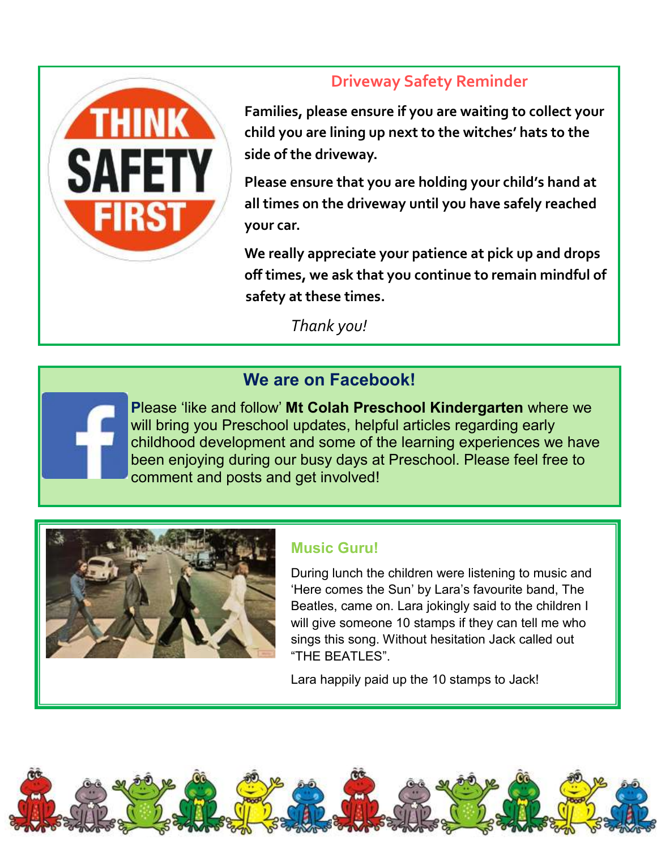

# **Driveway Safety Reminder**

**Families, please ensure if you are waiting to collect your child you are lining up next to the witches' hats to the side of the driveway.** 

**Please ensure that you are holding your child's hand at all times on the driveway until you have safely reached your car.**

**We really appreciate your patience at pick up and drops off times, we ask that you continue to remain mindful of safety at these times.** 

*Thank you!*

## **We are on Facebook!**

**P**lease 'like and follow' **Mt Colah Preschool Kindergarten** where we will bring you Preschool updates, helpful articles regarding early childhood development and some of the learning experiences we have been enjoying during our busy days at Preschool. Please feel free to comment and posts and get involved!



#### **Music Guru!**

During lunch the children were listening to music and 'Here comes the Sun' by Lara's favourite band, The Beatles, came on. Lara jokingly said to the children I will give someone 10 stamps if they can tell me who sings this song. Without hesitation Jack called out "THE BEATLES".

Lara happily paid up the 10 stamps to Jack!

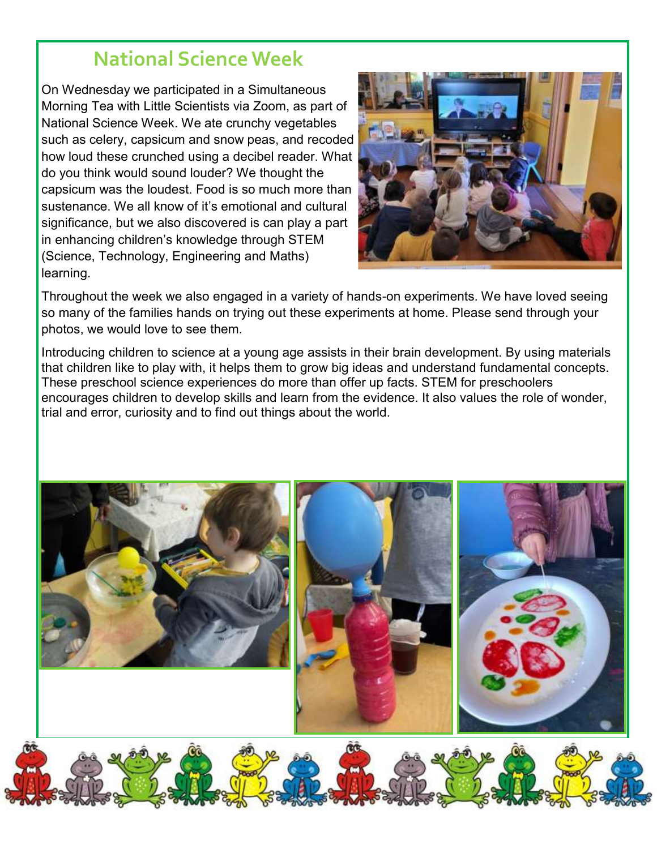# **National Science Week**

On Wednesday we participated in a Simultaneous Morning Tea with Little Scientists via Zoom, as part of National Science Week. We ate crunchy vegetables such as celery, capsicum and snow peas, and recoded how loud these crunched using a decibel reader. What do you think would sound louder? We thought the capsicum was the loudest. Food is so much more than sustenance. We all know of it's emotional and cultural significance, but we also discovered is can play a part in enhancing children's knowledge through STEM (Science, Technology, Engineering and Maths) learning.



Throughout the week we also engaged in a variety of hands-on experiments. We have loved seeing so many of the families hands on trying out these experiments at home. Please send through your photos, we would love to see them.

Introducing children to science at a young age assists in their brain development. By using materials that children like to play with, it helps them to grow big ideas and understand fundamental concepts. These preschool science experiences do more than offer up facts. STEM for preschoolers encourages children to develop skills and learn from the evidence. It also values the role of wonder, trial and error, curiosity and to find out things about the world.

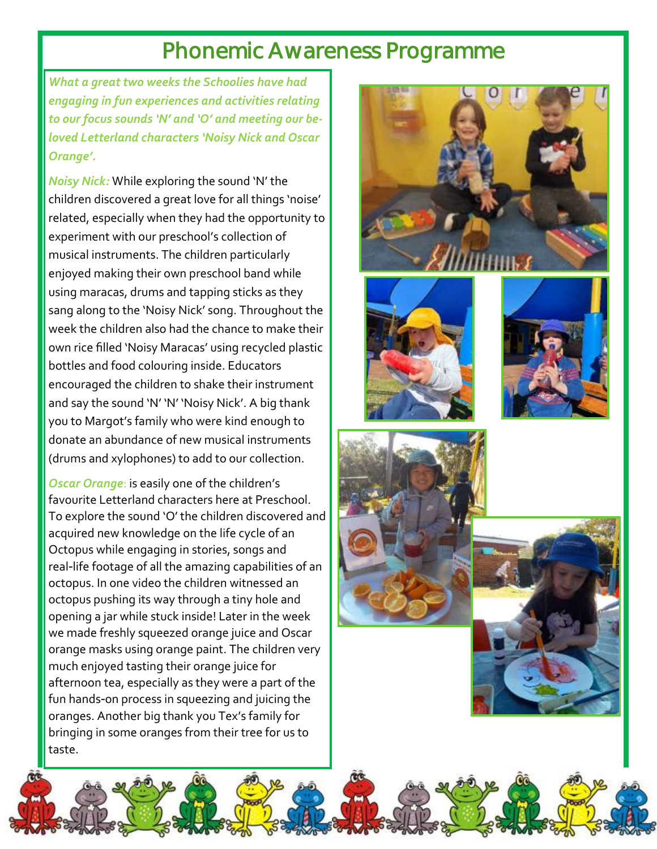# Phonemic Awareness Programme

*What a great two weeks the Schoolies have had engaging in fun experiences and activities relating to our focus sounds 'N' and 'O' and meeting our beloved Letterland characters 'Noisy Nick and Oscar Orange'.* 

*Noisy Nick:* While exploring the sound 'N' the children discovered a great love for all things 'noise' related, especially when they had the opportunity to experiment with our preschool's collection of musical instruments. The children particularly enjoyed making their own preschool band while using maracas, drums and tapping sticks as they sang along to the 'Noisy Nick' song. Throughout the week the children also had the chance to make their own rice filled 'Noisy Maracas' using recycled plastic bottles and food colouring inside. Educators encouraged the children to shake their instrument and say the sound 'N' 'N' 'Noisy Nick'. A big thank you to Margot's family who were kind enough to donate an abundance of new musical instruments (drums and xylophones) to add to our collection.

*Oscar Orange*: is easily one of the children's favourite Letterland characters here at Preschool. To explore the sound 'O' the children discovered and acquired new knowledge on the life cycle of an Octopus while engaging in stories, songs and real-life footage of all the amazing capabilities of an octopus. In one video the children witnessed an octopus pushing its way through a tiny hole and opening a jar while stuck inside! Later in the week we made freshly squeezed orange juice and Oscar orange masks using orange paint. The children very much enjoyed tasting their orange juice for afternoon tea, especially as they were a part of the fun hands-on process in squeezing and juicing the oranges. Another big thank you Tex's family for bringing in some oranges from their tree for us to taste.









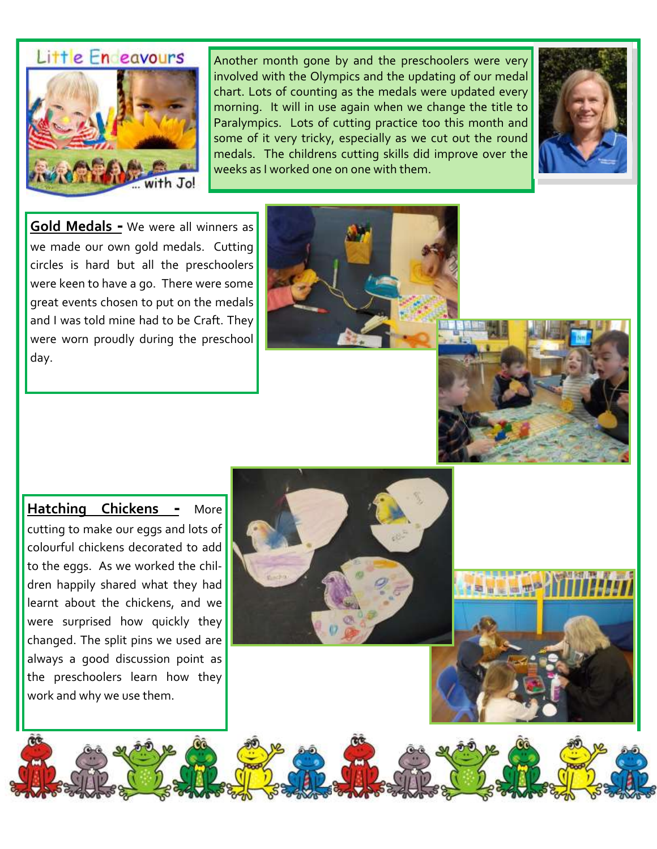# Little En eavours



Another month gone by and the preschoolers were very involved with the Olympics and the updating of our medal chart. Lots of counting as the medals were updated every morning. It will in use again when we change the title to Paralympics. Lots of cutting practice too this month and some of it very tricky, especially as we cut out the round medals. The childrens cutting skills did improve over the weeks as I worked one on one with them.



**Gold Medals -** We were all winners as we made our own gold medals. Cutting circles is hard but all the preschoolers were keen to have a go. There were some great events chosen to put on the medals and I was told mine had to be Craft. They were worn proudly during the preschool day.





**Hatching Chickens -** More cutting to make our eggs and lots of colourful chickens decorated to add to the eggs. As we worked the children happily shared what they had learnt about the chickens, and we were surprised how quickly they changed. The split pins we used are always a good discussion point as the preschoolers learn how they work and why we use them.

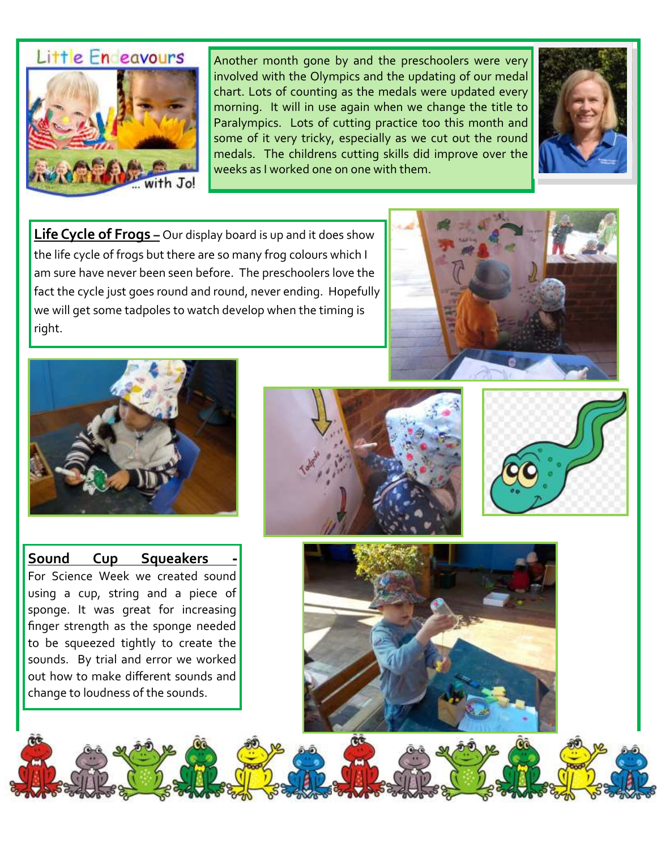# Little En eavours



Another month gone by and the preschoolers were very involved with the Olympics and the updating of our medal chart. Lots of counting as the medals were updated every morning. It will in use again when we change the title to Paralympics. Lots of cutting practice too this month and some of it very tricky, especially as we cut out the round medals. The childrens cutting skills did improve over the weeks as I worked one on one with them.



**Life Cycle of Frogs** – Our display board is up and it does show the life cycle of frogs but there are so many frog colours which I am sure have never been seen before. The preschoolers love the fact the cycle just goes round and round, never ending. Hopefully we will get some tadpoles to watch develop when the timing is right.





**Sound Cup Squeakers -** For Science Week we created sound using a cup, string and a piece of sponge. It was great for increasing finger strength as the sponge needed to be squeezed tightly to create the sounds. By trial and error we worked out how to make different sounds and change to loudness of the sounds.





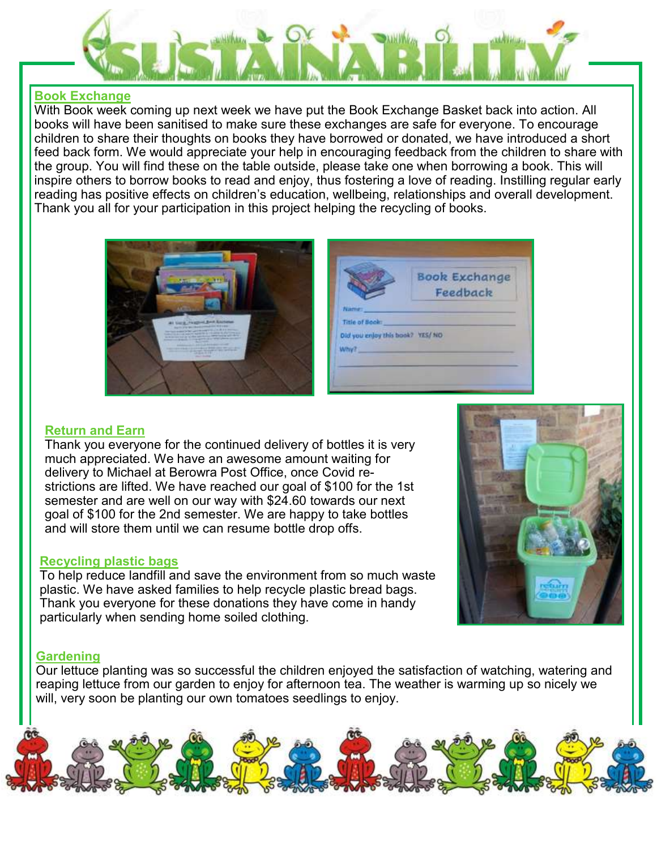

#### **Book Exchange**

With Book week coming up next week we have put the Book Exchange Basket back into action. All books will have been sanitised to make sure these exchanges are safe for everyone. To encourage children to share their thoughts on books they have borrowed or donated, we have introduced a short feed back form. We would appreciate your help in encouraging feedback from the children to share with the group. You will find these on the table outside, please take one when borrowing a book. This will inspire others to borrow books to read and enjoy, thus fostering a love of reading. Instilling regular early reading has positive effects on children's education, wellbeing, relationships and overall development. Thank you all for your participation in this project helping the recycling of books.





#### **Return and Earn**

Thank you everyone for the continued delivery of bottles it is very much appreciated. We have an awesome amount waiting for delivery to Michael at Berowra Post Office, once Covid restrictions are lifted. We have reached our goal of \$100 for the 1st semester and are well on our way with \$24.60 towards our next goal of \$100 for the 2nd semester. We are happy to take bottles and will store them until we can resume bottle drop offs.

#### **Recycling plastic bags**

To help reduce landfill and save the environment from so much waste plastic. We have asked families to help recycle plastic bread bags. Thank you everyone for these donations they have come in handy particularly when sending home soiled clothing.



#### **Gardening**

Our lettuce planting was so successful the children enjoyed the satisfaction of watching, watering and reaping lettuce from our garden to enjoy for afternoon tea. The weather is warming up so nicely we will, very soon be planting our own tomatoes seedlings to enjoy.

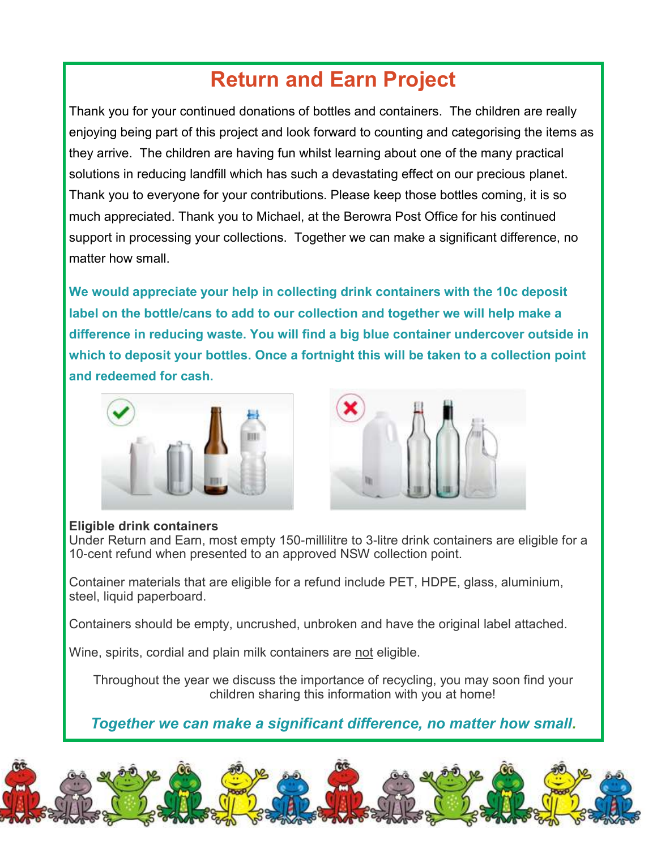# **Return and Earn Project**

Thank you for your continued donations of bottles and containers. The children are really enjoying being part of this project and look forward to counting and categorising the items as they arrive. The children are having fun whilst learning about one of the many practical solutions in reducing landfill which has such a devastating effect on our precious planet. Thank you to everyone for your contributions. Please keep those bottles coming, it is so much appreciated. Thank you to Michael, at the Berowra Post Office for his continued support in processing your collections. Together we can make a significant difference, no matter how small.

**We would appreciate your help in collecting drink containers with the 10c deposit label on the bottle/cans to add to our collection and together we will help make a difference in reducing waste. You will find a big blue container undercover outside in which to deposit your bottles. Once a fortnight this will be taken to a collection point and redeemed for cash.** 





#### **Eligible drink containers**

Under Return and Earn, most empty 150-millilitre to 3-litre drink containers are eligible for a 10-cent refund when presented to an approved NSW collection point.

Container materials that are eligible for a refund include PET, HDPE, glass, aluminium, steel, liquid paperboard.

Containers should be empty, uncrushed, unbroken and have the original label attached.

Wine, spirits, cordial and plain milk containers are not eligible.

Throughout the year we discuss the importance of recycling, you may soon find your children sharing this information with you at home!

*Together we can make a significant difference, no matter how small.*